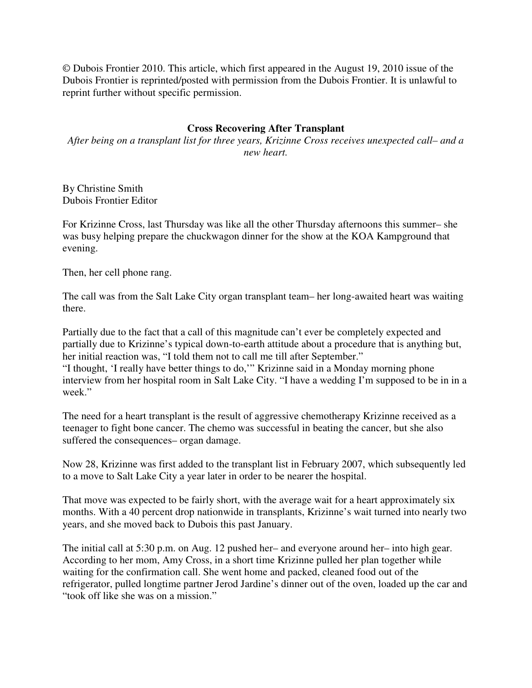© Dubois Frontier 2010. This article, which first appeared in the August 19, 2010 issue of the Dubois Frontier is reprinted/posted with permission from the Dubois Frontier. It is unlawful to reprint further without specific permission.

## **Cross Recovering After Transplant**

*After being on a transplant list for three years, Krizinne Cross receives unexpected call– and a new heart.* 

By Christine Smith Dubois Frontier Editor

For Krizinne Cross, last Thursday was like all the other Thursday afternoons this summer– she was busy helping prepare the chuckwagon dinner for the show at the KOA Kampground that evening.

Then, her cell phone rang.

The call was from the Salt Lake City organ transplant team– her long-awaited heart was waiting there.

Partially due to the fact that a call of this magnitude can't ever be completely expected and partially due to Krizinne's typical down-to-earth attitude about a procedure that is anything but, her initial reaction was, "I told them not to call me till after September." "I thought, 'I really have better things to do,'" Krizinne said in a Monday morning phone interview from her hospital room in Salt Lake City. "I have a wedding I'm supposed to be in in a week."

The need for a heart transplant is the result of aggressive chemotherapy Krizinne received as a teenager to fight bone cancer. The chemo was successful in beating the cancer, but she also suffered the consequences– organ damage.

Now 28, Krizinne was first added to the transplant list in February 2007, which subsequently led to a move to Salt Lake City a year later in order to be nearer the hospital.

That move was expected to be fairly short, with the average wait for a heart approximately six months. With a 40 percent drop nationwide in transplants, Krizinne's wait turned into nearly two years, and she moved back to Dubois this past January.

The initial call at 5:30 p.m. on Aug. 12 pushed her– and everyone around her– into high gear. According to her mom, Amy Cross, in a short time Krizinne pulled her plan together while waiting for the confirmation call. She went home and packed, cleaned food out of the refrigerator, pulled longtime partner Jerod Jardine's dinner out of the oven, loaded up the car and "took off like she was on a mission."